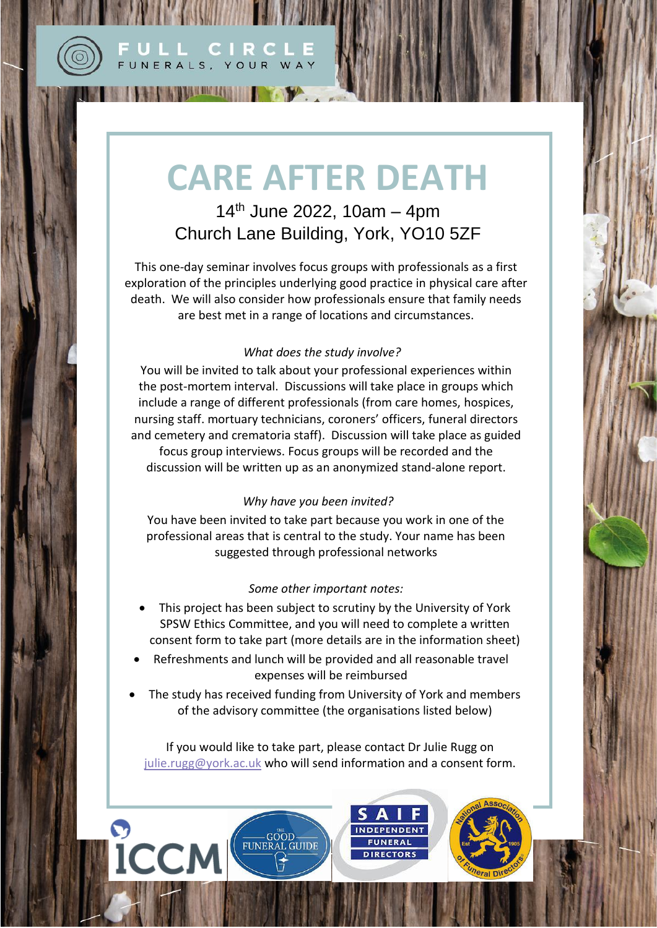

 $\mathbf O$ 

**ICCM** 

## **CARE AFTER DEATH**

ULL CIRCLE FUNERALS, YOUR WAY

**THE PUBLICAN CONTROL OF A REAL PROPERTY.** 

 $14<sup>th</sup>$  June 2022, 10am – 4pm Church Lane Building, York, YO10 5ZF

This one-day seminar involves focus groups with professionals as a first exploration of the principles underlying good practice in physical care after death. We will also consider how professionals ensure that family needs are best met in a range of locations and circumstances.

## *What does the study involve?*

You will be invited to talk about your professional experiences within the post-mortem interval. Discussions will take place in groups which include a range of different professionals (from care homes, hospices, nursing staff. mortuary technicians, coroners' officers, funeral directors and cemetery and crematoria staff). Discussion will take place as guided focus group interviews. Focus groups will be recorded and the discussion will be written up as an anonymized stand-alone report.

## *Why have you been invited?*

You have been invited to take part because you work in one of the professional areas that is central to the study. Your name has been suggested through professional networks

## *Some other important notes:*

- This project has been subject to scrutiny by the University of York SPSW Ethics Committee, and you will need to complete a written consent form to take part (more details are in the information sheet)
- Refreshments and lunch will be provided and all reasonable travel expenses will be reimbursed
- The study has received funding from University of York and members of the advisory committee (the organisations listed below)

If you would like to take part, please contact Dr Julie Rugg on [julie.rugg@york.ac.uk](mailto:julie.rugg@york.ac.uk) who will send information and a consent form.

EUNERAL GUIDE